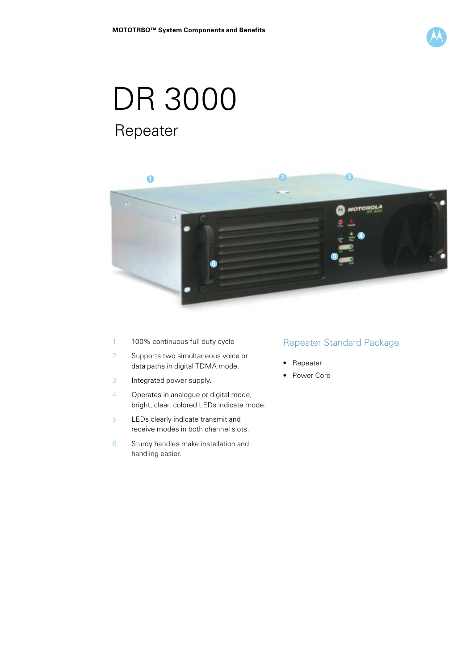

# DR 3000 Repeater



- 1 100% continuous full duty cycle
- 2 Supports two simultaneous voice or data paths in digital TDMA mode.
- 3 Integrated power supply.
- 4 Operates in analogue or digital mode, bright, clear, colored LEDs indicate mode.
- 5 LEDs clearly indicate transmit and receive modes in both channel slots.
- 6 Sturdy handles make installation and handling easier.

## Repeater Standard Package

- Repeater
- Power Cord